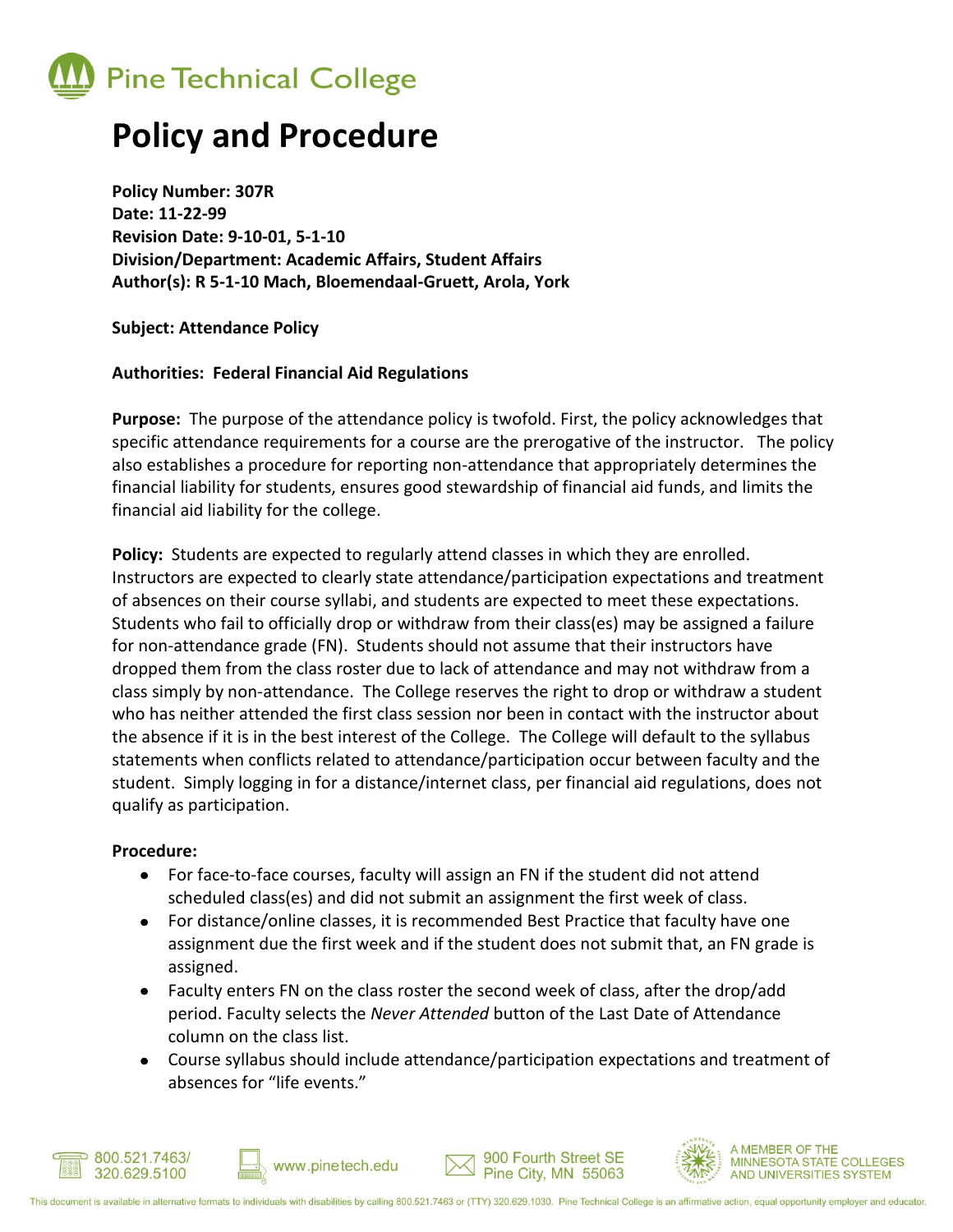

## **Policy and Procedure**

**Policy Number: 307R Date: 11-22-99 Revision Date: 9-10-01, 5-1-10 Division/Department: Academic Affairs, Student Affairs Author(s): R 5-1-10 Mach, Bloemendaal-Gruett, Arola, York**

**Subject: Attendance Policy** 

## **Authorities: Federal Financial Aid Regulations**

**Purpose:** The purpose of the attendance policy is twofold. First, the policy acknowledges that specific attendance requirements for a course are the prerogative of the instructor. The policy also establishes a procedure for reporting non-attendance that appropriately determines the financial liability for students, ensures good stewardship of financial aid funds, and limits the financial aid liability for the college.

**Policy:** Students are expected to regularly attend classes in which they are enrolled. Instructors are expected to clearly state attendance/participation expectations and treatment of absences on their course syllabi, and students are expected to meet these expectations. Students who fail to officially drop or withdraw from their class(es) may be assigned a failure for non-attendance grade (FN). Students should not assume that their instructors have dropped them from the class roster due to lack of attendance and may not withdraw from a class simply by non-attendance. The College reserves the right to drop or withdraw a student who has neither attended the first class session nor been in contact with the instructor about the absence if it is in the best interest of the College. The College will default to the syllabus statements when conflicts related to attendance/participation occur between faculty and the student. Simply logging in for a distance/internet class, per financial aid regulations, does not qualify as participation.

## **Procedure:**

- For face-to-face courses, faculty will assign an FN if the student did not attend scheduled class(es) and did not submit an assignment the first week of class.
- For distance/online classes, it is recommended Best Practice that faculty have one assignment due the first week and if the student does not submit that, an FN grade is assigned.
- Faculty enters FN on the class roster the second week of class, after the drop/add period. Faculty selects the *Never Attended* button of the Last Date of Attendance column on the class list.
- Course syllabus should include attendance/participation expectations and treatment of absences for "life events."







www.pinetech.edu